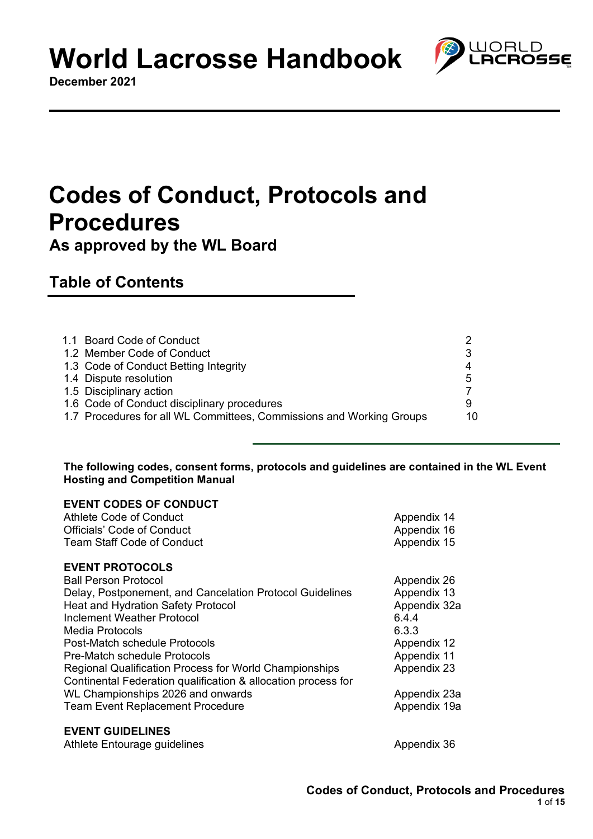#### **December 2021**

## **Codes of Conduct, Protocols and Procedures**

**As approved by the WL Board**

### **Table of Contents**

| 1.1 Board Code of Conduct                                            |    |
|----------------------------------------------------------------------|----|
|                                                                      |    |
| 1.2 Member Code of Conduct                                           |    |
| 1.3 Code of Conduct Betting Integrity                                |    |
| 1.4 Dispute resolution                                               | 5  |
| 1.5 Disciplinary action                                              |    |
| 1.6 Code of Conduct disciplinary procedures                          |    |
| 1.7 Procedures for all WL Committees, Commissions and Working Groups | 10 |
|                                                                      |    |

#### **The following codes, consent forms, protocols and guidelines are contained in the WL Event Hosting and Competition Manual**

| <b>EVENT CODES OF CONDUCT</b>                                 |              |
|---------------------------------------------------------------|--------------|
| Athlete Code of Conduct                                       | Appendix 14  |
| <b>Officials' Code of Conduct</b>                             | Appendix 16  |
| <b>Team Staff Code of Conduct</b>                             | Appendix 15  |
| <b>EVENT PROTOCOLS</b>                                        |              |
| <b>Ball Person Protocol</b>                                   | Appendix 26  |
| Delay, Postponement, and Cancelation Protocol Guidelines      | Appendix 13  |
| <b>Heat and Hydration Safety Protocol</b>                     | Appendix 32a |
| Inclement Weather Protocol                                    | 6.4.4        |
| Media Protocols                                               | 6.3.3        |
| Post-Match schedule Protocols                                 | Appendix 12  |
| Pre-Match schedule Protocols                                  | Appendix 11  |
| <b>Regional Qualification Process for World Championships</b> | Appendix 23  |
| Continental Federation qualification & allocation process for |              |
| WL Championships 2026 and onwards                             | Appendix 23a |
| <b>Team Event Replacement Procedure</b>                       | Appendix 19a |
| <b>EVENT GUIDELINES</b>                                       |              |
| Athlete Entourage guidelines                                  | Appendix 36  |

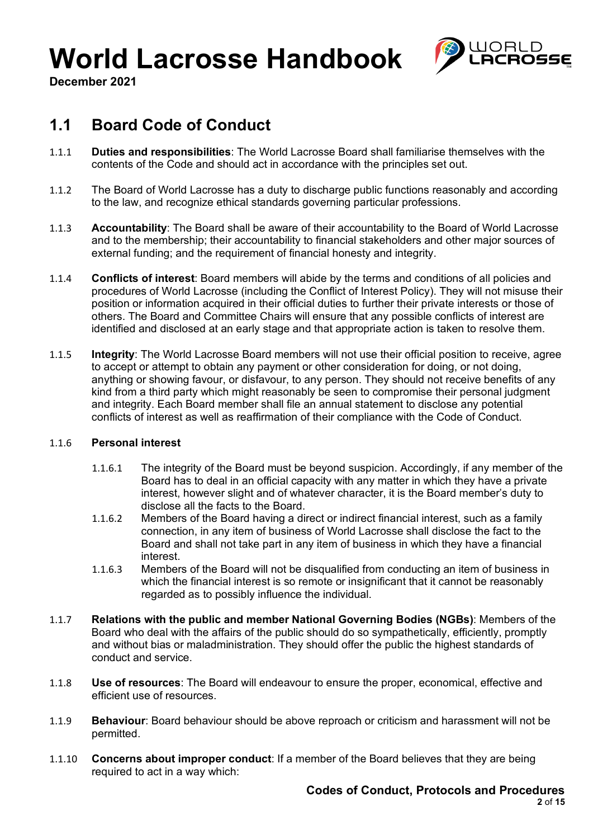

**December 2021**

### **1.1 Board Code of Conduct**

- 1.1.1 **Duties and responsibilities**: The World Lacrosse Board shall familiarise themselves with the contents of the Code and should act in accordance with the principles set out.
- 1.1.2 The Board of World Lacrosse has a duty to discharge public functions reasonably and according to the law, and recognize ethical standards governing particular professions.
- 1.1.3 **Accountability**: The Board shall be aware of their accountability to the Board of World Lacrosse and to the membership; their accountability to financial stakeholders and other major sources of external funding; and the requirement of financial honesty and integrity.
- 1.1.4 **Conflicts of interest**: Board members will abide by the terms and conditions of all policies and procedures of World Lacrosse (including the Conflict of Interest Policy). They will not misuse their position or information acquired in their official duties to further their private interests or those of others. The Board and Committee Chairs will ensure that any possible conflicts of interest are identified and disclosed at an early stage and that appropriate action is taken to resolve them.
- 1.1.5 **Integrity**: The World Lacrosse Board members will not use their official position to receive, agree to accept or attempt to obtain any payment or other consideration for doing, or not doing, anything or showing favour, or disfavour, to any person. They should not receive benefits of any kind from a third party which might reasonably be seen to compromise their personal judgment and integrity. Each Board member shall file an annual statement to disclose any potential conflicts of interest as well as reaffirmation of their compliance with the Code of Conduct.

#### 1.1.6 **Personal interest**

- 1.1.6.1 The integrity of the Board must be beyond suspicion. Accordingly, if any member of the Board has to deal in an official capacity with any matter in which they have a private interest, however slight and of whatever character, it is the Board member's duty to disclose all the facts to the Board.
- 1.1.6.2 Members of the Board having a direct or indirect financial interest, such as a family connection, in any item of business of World Lacrosse shall disclose the fact to the Board and shall not take part in any item of business in which they have a financial interest.
- 1.1.6.3 Members of the Board will not be disqualified from conducting an item of business in which the financial interest is so remote or insignificant that it cannot be reasonably regarded as to possibly influence the individual.
- 1.1.7 **Relations with the public and member National Governing Bodies (NGBs)**: Members of the Board who deal with the affairs of the public should do so sympathetically, efficiently, promptly and without bias or maladministration. They should offer the public the highest standards of conduct and service.
- 1.1.8 **Use of resources**: The Board will endeavour to ensure the proper, economical, effective and efficient use of resources.
- 1.1.9 **Behaviour**: Board behaviour should be above reproach or criticism and harassment will not be permitted.
- 1.1.10 **Concerns about improper conduct**: If a member of the Board believes that they are being required to act in a way which: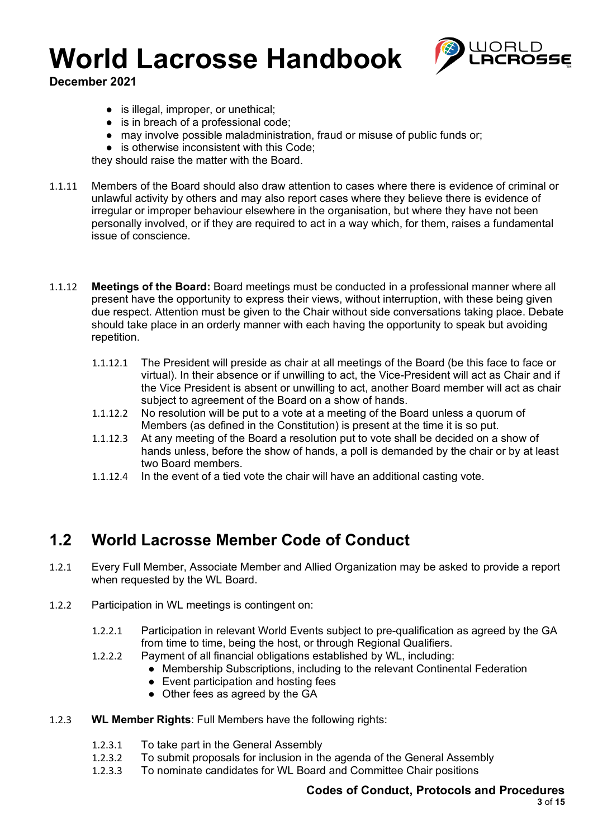

**December 2021**

- is illegal, improper, or unethical;
- is in breach of a professional code;
- may involve possible maladministration, fraud or misuse of public funds or;
- is otherwise inconsistent with this Code;

they should raise the matter with the Board.

- 1.1.11 Members of the Board should also draw attention to cases where there is evidence of criminal or unlawful activity by others and may also report cases where they believe there is evidence of irregular or improper behaviour elsewhere in the organisation, but where they have not been personally involved, or if they are required to act in a way which, for them, raises a fundamental issue of conscience.
- 1.1.12 **Meetings of the Board:** Board meetings must be conducted in a professional manner where all present have the opportunity to express their views, without interruption, with these being given due respect. Attention must be given to the Chair without side conversations taking place. Debate should take place in an orderly manner with each having the opportunity to speak but avoiding repetition.
	- 1.1.12.1 The President will preside as chair at all meetings of the Board (be this face to face or virtual). In their absence or if unwilling to act, the Vice-President will act as Chair and if the Vice President is absent or unwilling to act, another Board member will act as chair subject to agreement of the Board on a show of hands.
	- 1.1.12.2 No resolution will be put to a vote at a meeting of the Board unless a quorum of Members (as defined in the Constitution) is present at the time it is so put.
	- 1.1.12.3 At any meeting of the Board a resolution put to vote shall be decided on a show of hands unless, before the show of hands, a poll is demanded by the chair or by at least two Board members.
	- 1.1.12.4 In the event of a tied vote the chair will have an additional casting vote.

### **1.2 World Lacrosse Member Code of Conduct**

- 1.2.1 Every Full Member, Associate Member and Allied Organization may be asked to provide a report when requested by the WL Board.
- 1.2.2 Participation in WL meetings is contingent on:
	- 1.2.2.1 Participation in relevant World Events subject to pre-qualification as agreed by the GA from time to time, being the host, or through Regional Qualifiers.
	- 1.2.2.2 Payment of all financial obligations established by WL, including:
		- Membership Subscriptions, including to the relevant Continental Federation
		- Event participation and hosting fees
		- Other fees as agreed by the GA
- 1.2.3 **WL Member Rights**: Full Members have the following rights:
	- 1.2.3.1 To take part in the General Assembly
	- 1.2.3.2 To submit proposals for inclusion in the agenda of the General Assembly
	- 1.2.3.3 To nominate candidates for WL Board and Committee Chair positions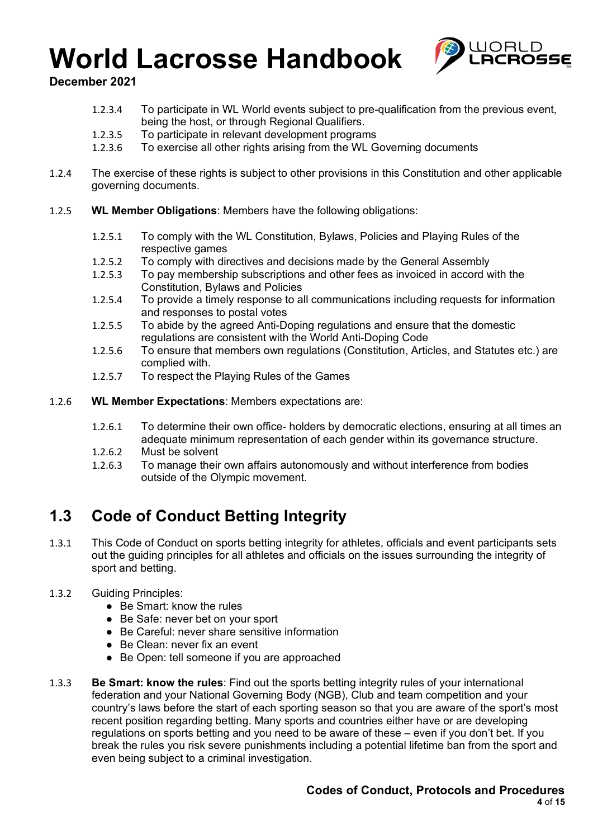

**December 2021**

- 1.2.3.4 To participate in WL World events subject to pre-qualification from the previous event, being the host, or through Regional Qualifiers.
- 1.2.3.5 To participate in relevant development programs
- 1.2.3.6 To exercise all other rights arising from the WL Governing documents
- 1.2.4 The exercise of these rights is subject to other provisions in this Constitution and other applicable governing documents.
- 1.2.5 **WL Member Obligations**: Members have the following obligations:
	- 1.2.5.1 To comply with the WL Constitution, Bylaws, Policies and Playing Rules of the respective games
	- 1.2.5.2 To comply with directives and decisions made by the General Assembly
	- 1.2.5.3 To pay membership subscriptions and other fees as invoiced in accord with the Constitution, Bylaws and Policies
	- 1.2.5.4 To provide a timely response to all communications including requests for information and responses to postal votes
	- 1.2.5.5 To abide by the agreed Anti-Doping regulations and ensure that the domestic regulations are consistent with the World Anti-Doping Code
	- 1.2.5.6 To ensure that members own regulations (Constitution, Articles, and Statutes etc.) are complied with.
	- 1.2.5.7 To respect the Playing Rules of the Games
- 1.2.6 **WL Member Expectations**: Members expectations are:
	- 1.2.6.1 To determine their own office- holders by democratic elections, ensuring at all times an adequate minimum representation of each gender within its governance structure.
	- 1.2.6.2 Must be solvent
	- 1.2.6.3 To manage their own affairs autonomously and without interference from bodies outside of the Olympic movement.

### **1.3 Code of Conduct Betting Integrity**

- 1.3.1 This Code of Conduct on sports betting integrity for athletes, officials and event participants sets out the guiding principles for all athletes and officials on the issues surrounding the integrity of sport and betting.
- 1.3.2 Guiding Principles:
	- Be Smart: know the rules
	- Be Safe: never bet on your sport
	- Be Careful: never share sensitive information
	- Be Clean: never fix an event
	- Be Open: tell someone if you are approached
- 1.3.3 **Be Smart: know the rules**: Find out the sports betting integrity rules of your international federation and your National Governing Body (NGB), Club and team competition and your country's laws before the start of each sporting season so that you are aware of the sport's most recent position regarding betting. Many sports and countries either have or are developing regulations on sports betting and you need to be aware of these – even if you don't bet. If you break the rules you risk severe punishments including a potential lifetime ban from the sport and even being subject to a criminal investigation.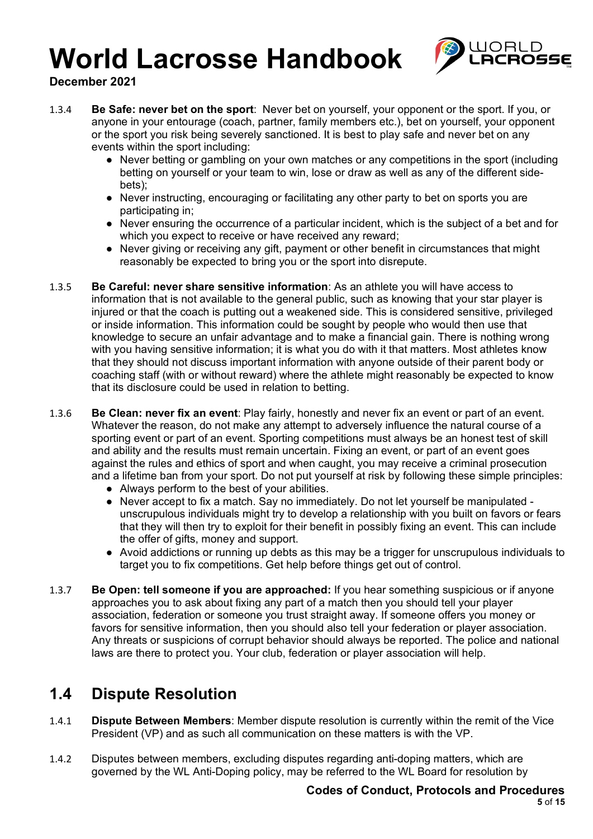

**December 2021**

- 1.3.4 **Be Safe: never bet on the sport**: Never bet on yourself, your opponent or the sport. If you, or anyone in your entourage (coach, partner, family members etc.), bet on yourself, your opponent or the sport you risk being severely sanctioned. It is best to play safe and never bet on any events within the sport including:
	- Never betting or gambling on your own matches or any competitions in the sport (including betting on yourself or your team to win, lose or draw as well as any of the different sidebets);
	- Never instructing, encouraging or facilitating any other party to bet on sports you are participating in;
	- Never ensuring the occurrence of a particular incident, which is the subject of a bet and for which you expect to receive or have received any reward;
	- Never giving or receiving any gift, payment or other benefit in circumstances that might reasonably be expected to bring you or the sport into disrepute.
- 1.3.5 **Be Careful: never share sensitive information**: As an athlete you will have access to information that is not available to the general public, such as knowing that your star player is injured or that the coach is putting out a weakened side. This is considered sensitive, privileged or inside information. This information could be sought by people who would then use that knowledge to secure an unfair advantage and to make a financial gain. There is nothing wrong with you having sensitive information; it is what you do with it that matters. Most athletes know that they should not discuss important information with anyone outside of their parent body or coaching staff (with or without reward) where the athlete might reasonably be expected to know that its disclosure could be used in relation to betting.
- 1.3.6 **Be Clean: never fix an event**: Play fairly, honestly and never fix an event or part of an event. Whatever the reason, do not make any attempt to adversely influence the natural course of a sporting event or part of an event. Sporting competitions must always be an honest test of skill and ability and the results must remain uncertain. Fixing an event, or part of an event goes against the rules and ethics of sport and when caught, you may receive a criminal prosecution and a lifetime ban from your sport. Do not put yourself at risk by following these simple principles:
	- Always perform to the best of your abilities.
	- Never accept to fix a match. Say no immediately. Do not let yourself be manipulated unscrupulous individuals might try to develop a relationship with you built on favors or fears that they will then try to exploit for their benefit in possibly fixing an event. This can include the offer of gifts, money and support.
	- Avoid addictions or running up debts as this may be a trigger for unscrupulous individuals to target you to fix competitions. Get help before things get out of control.
- 1.3.7 **Be Open: tell someone if you are approached:** If you hear something suspicious or if anyone approaches you to ask about fixing any part of a match then you should tell your player association, federation or someone you trust straight away. If someone offers you money or favors for sensitive information, then you should also tell your federation or player association. Any threats or suspicions of corrupt behavior should always be reported. The police and national laws are there to protect you. Your club, federation or player association will help.

### **1.4 Dispute Resolution**

- 1.4.1 **Dispute Between Members**: Member dispute resolution is currently within the remit of the Vice President (VP) and as such all communication on these matters is with the VP.
- 1.4.2 Disputes between members, excluding disputes regarding anti-doping matters, which are governed by the WL Anti-Doping policy, may be referred to the WL Board for resolution by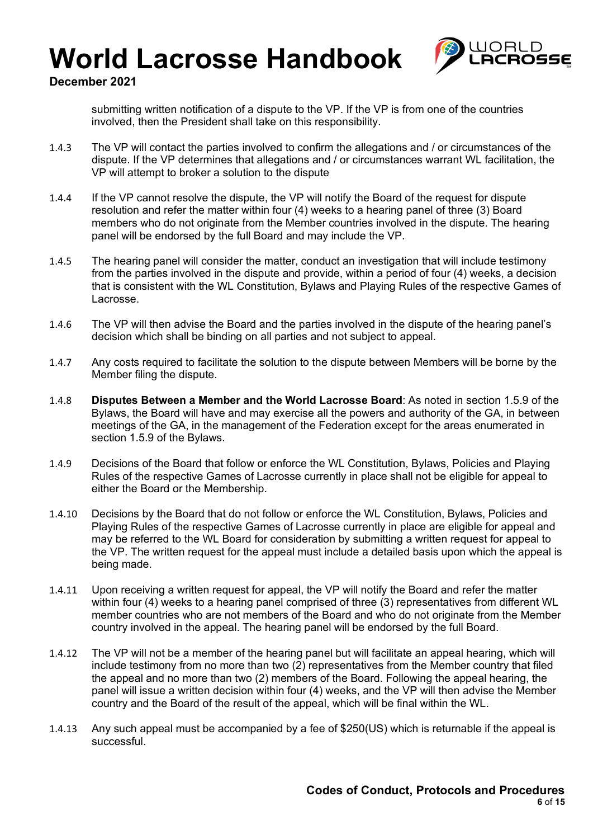

#### **December 2021**

submitting written notification of a dispute to the VP. If the VP is from one of the countries involved, then the President shall take on this responsibility.

- 1.4.3 The VP will contact the parties involved to confirm the allegations and / or circumstances of the dispute. If the VP determines that allegations and / or circumstances warrant WL facilitation, the VP will attempt to broker a solution to the dispute
- 1.4.4 If the VP cannot resolve the dispute, the VP will notify the Board of the request for dispute resolution and refer the matter within four (4) weeks to a hearing panel of three (3) Board members who do not originate from the Member countries involved in the dispute. The hearing panel will be endorsed by the full Board and may include the VP.
- 1.4.5 The hearing panel will consider the matter, conduct an investigation that will include testimony from the parties involved in the dispute and provide, within a period of four (4) weeks, a decision that is consistent with the WL Constitution, Bylaws and Playing Rules of the respective Games of Lacrosse.
- 1.4.6 The VP will then advise the Board and the parties involved in the dispute of the hearing panel's decision which shall be binding on all parties and not subject to appeal.
- 1.4.7 Any costs required to facilitate the solution to the dispute between Members will be borne by the Member filing the dispute.
- 1.4.8 **Disputes Between a Member and the World Lacrosse Board**: As noted in section 1.5.9 of the Bylaws, the Board will have and may exercise all the powers and authority of the GA, in between meetings of the GA, in the management of the Federation except for the areas enumerated in section 1.5.9 of the Bylaws.
- 1.4.9 Decisions of the Board that follow or enforce the WL Constitution, Bylaws, Policies and Playing Rules of the respective Games of Lacrosse currently in place shall not be eligible for appeal to either the Board or the Membership.
- 1.4.10 Decisions by the Board that do not follow or enforce the WL Constitution, Bylaws, Policies and Playing Rules of the respective Games of Lacrosse currently in place are eligible for appeal and may be referred to the WL Board for consideration by submitting a written request for appeal to the VP. The written request for the appeal must include a detailed basis upon which the appeal is being made.
- 1.4.11 Upon receiving a written request for appeal, the VP will notify the Board and refer the matter within four (4) weeks to a hearing panel comprised of three (3) representatives from different WL member countries who are not members of the Board and who do not originate from the Member country involved in the appeal. The hearing panel will be endorsed by the full Board.
- 1.4.12 The VP will not be a member of the hearing panel but will facilitate an appeal hearing, which will include testimony from no more than two (2) representatives from the Member country that filed the appeal and no more than two (2) members of the Board. Following the appeal hearing, the panel will issue a written decision within four (4) weeks, and the VP will then advise the Member country and the Board of the result of the appeal, which will be final within the WL.
- 1.4.13 Any such appeal must be accompanied by a fee of \$250(US) which is returnable if the appeal is successful.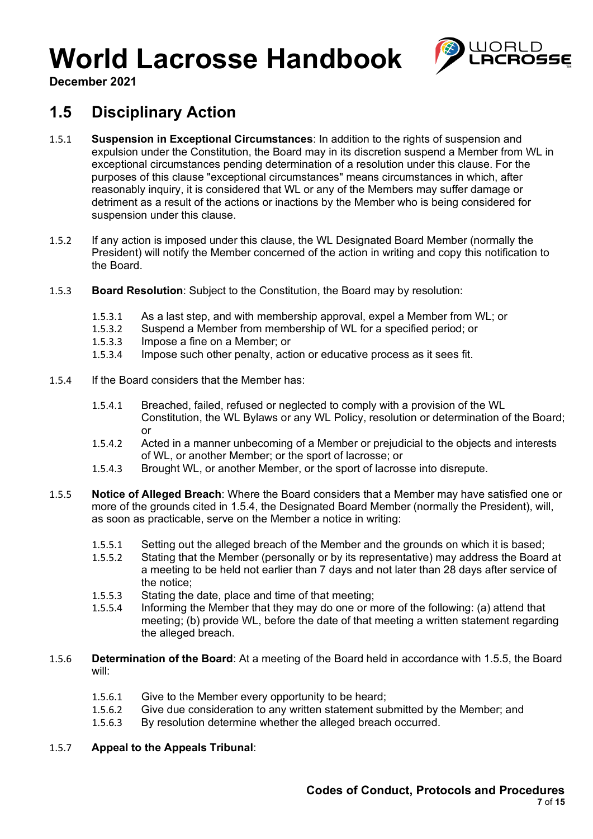

**December 2021**

### **1.5 Disciplinary Action**

- 1.5.1 **Suspension in Exceptional Circumstances**: In addition to the rights of suspension and expulsion under the Constitution, the Board may in its discretion suspend a Member from WL in exceptional circumstances pending determination of a resolution under this clause. For the purposes of this clause "exceptional circumstances" means circumstances in which, after reasonably inquiry, it is considered that WL or any of the Members may suffer damage or detriment as a result of the actions or inactions by the Member who is being considered for suspension under this clause.
- 1.5.2 If any action is imposed under this clause, the WL Designated Board Member (normally the President) will notify the Member concerned of the action in writing and copy this notification to the Board.
- 1.5.3 **Board Resolution**: Subject to the Constitution, the Board may by resolution:
	- 1.5.3.1 As a last step, and with membership approval, expel a Member from WL; or 1.5.3.2 Suspend a Member from membership of WL for a specified period: or
	- Suspend a Member from membership of WL for a specified period; or
	- 1.5.3.3 Impose a fine on a Member; or
	- 1.5.3.4 Impose such other penalty, action or educative process as it sees fit.
- 1.5.4 If the Board considers that the Member has:
	- 1.5.4.1 Breached, failed, refused or neglected to comply with a provision of the WL Constitution, the WL Bylaws or any WL Policy, resolution or determination of the Board; or
	- 1.5.4.2 Acted in a manner unbecoming of a Member or prejudicial to the objects and interests of WL, or another Member; or the sport of lacrosse; or
	- 1.5.4.3 Brought WL, or another Member, or the sport of lacrosse into disrepute.
- 1.5.5 **Notice of Alleged Breach**: Where the Board considers that a Member may have satisfied one or more of the grounds cited in 1.5.4, the Designated Board Member (normally the President), will, as soon as practicable, serve on the Member a notice in writing:
	- 1.5.5.1 Setting out the alleged breach of the Member and the grounds on which it is based;
	- 1.5.5.2 Stating that the Member (personally or by its representative) may address the Board at a meeting to be held not earlier than 7 days and not later than 28 days after service of the notice;
	- 1.5.5.3 Stating the date, place and time of that meeting;
	- 1.5.5.4 Informing the Member that they may do one or more of the following: (a) attend that meeting; (b) provide WL, before the date of that meeting a written statement regarding the alleged breach.
- 1.5.6 **Determination of the Board**: At a meeting of the Board held in accordance with 1.5.5, the Board will:
	- 1.5.6.1 Give to the Member every opportunity to be heard;
	- 1.5.6.2 Give due consideration to any written statement submitted by the Member; and
	- 1.5.6.3 By resolution determine whether the alleged breach occurred.

#### 1.5.7 **Appeal to the Appeals Tribunal**: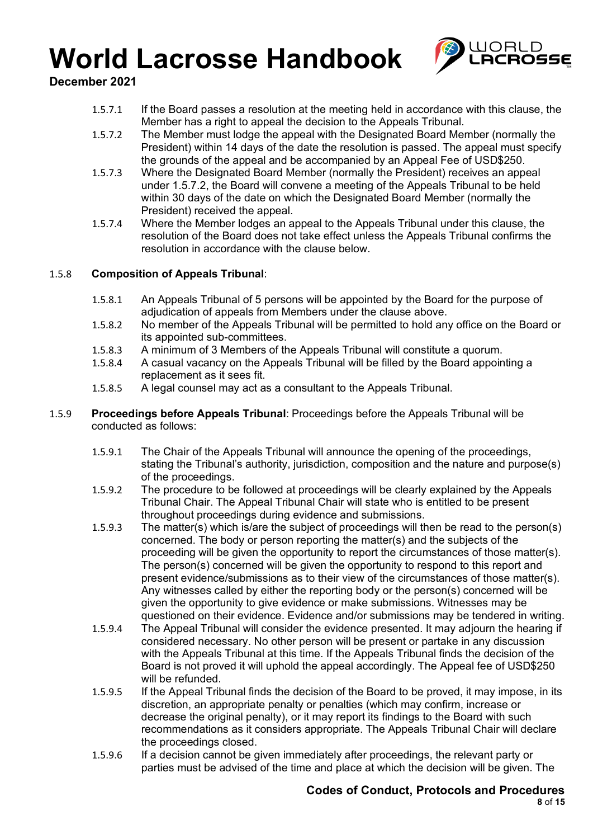

**December 2021**

- 1.5.7.1 If the Board passes a resolution at the meeting held in accordance with this clause, the Member has a right to appeal the decision to the Appeals Tribunal.
- 1.5.7.2 The Member must lodge the appeal with the Designated Board Member (normally the President) within 14 days of the date the resolution is passed. The appeal must specify the grounds of the appeal and be accompanied by an Appeal Fee of USD\$250.
- 1.5.7.3 Where the Designated Board Member (normally the President) receives an appeal under 1.5.7.2, the Board will convene a meeting of the Appeals Tribunal to be held within 30 days of the date on which the Designated Board Member (normally the President) received the appeal.
- 1.5.7.4 Where the Member lodges an appeal to the Appeals Tribunal under this clause, the resolution of the Board does not take effect unless the Appeals Tribunal confirms the resolution in accordance with the clause below.

#### 1.5.8 **Composition of Appeals Tribunal**:

- 1.5.8.1 An Appeals Tribunal of 5 persons will be appointed by the Board for the purpose of adjudication of appeals from Members under the clause above.
- 1.5.8.2 No member of the Appeals Tribunal will be permitted to hold any office on the Board or its appointed sub-committees.
- 1.5.8.3 A minimum of 3 Members of the Appeals Tribunal will constitute a quorum.
- 1.5.8.4 A casual vacancy on the Appeals Tribunal will be filled by the Board appointing a replacement as it sees fit.
- 1.5.8.5 A legal counsel may act as a consultant to the Appeals Tribunal.
- 1.5.9 **Proceedings before Appeals Tribunal**: Proceedings before the Appeals Tribunal will be conducted as follows:
	- 1.5.9.1 The Chair of the Appeals Tribunal will announce the opening of the proceedings, stating the Tribunal's authority, jurisdiction, composition and the nature and purpose(s) of the proceedings.
	- 1.5.9.2 The procedure to be followed at proceedings will be clearly explained by the Appeals Tribunal Chair. The Appeal Tribunal Chair will state who is entitled to be present throughout proceedings during evidence and submissions.
	- 1.5.9.3 The matter(s) which is/are the subject of proceedings will then be read to the person(s) concerned. The body or person reporting the matter(s) and the subjects of the proceeding will be given the opportunity to report the circumstances of those matter(s). The person(s) concerned will be given the opportunity to respond to this report and present evidence/submissions as to their view of the circumstances of those matter(s). Any witnesses called by either the reporting body or the person(s) concerned will be given the opportunity to give evidence or make submissions. Witnesses may be questioned on their evidence. Evidence and/or submissions may be tendered in writing.
	- 1.5.9.4 The Appeal Tribunal will consider the evidence presented. It may adjourn the hearing if considered necessary. No other person will be present or partake in any discussion with the Appeals Tribunal at this time. If the Appeals Tribunal finds the decision of the Board is not proved it will uphold the appeal accordingly. The Appeal fee of USD\$250 will be refunded.
	- 1.5.9.5 If the Appeal Tribunal finds the decision of the Board to be proved, it may impose, in its discretion, an appropriate penalty or penalties (which may confirm, increase or decrease the original penalty), or it may report its findings to the Board with such recommendations as it considers appropriate. The Appeals Tribunal Chair will declare the proceedings closed.
	- 1.5.9.6 If a decision cannot be given immediately after proceedings, the relevant party or parties must be advised of the time and place at which the decision will be given. The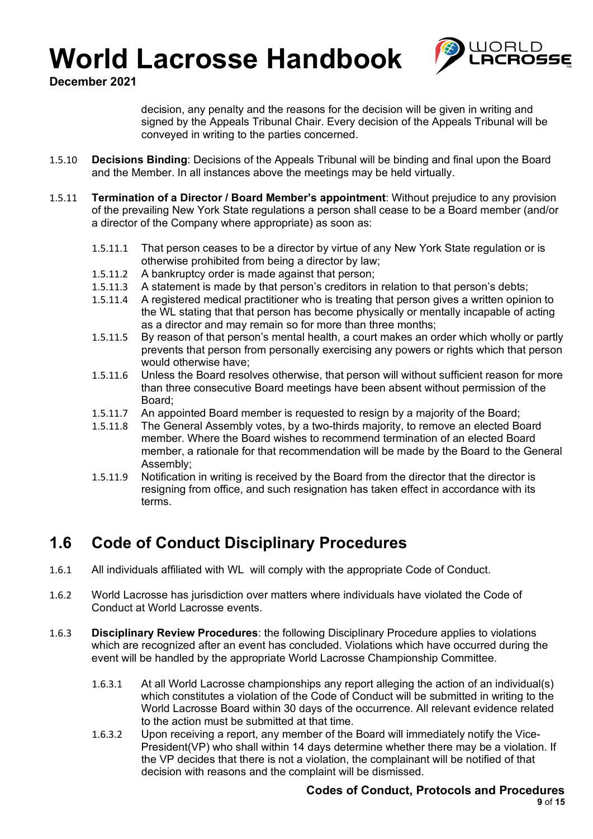

**December 2021**

decision, any penalty and the reasons for the decision will be given in writing and signed by the Appeals Tribunal Chair. Every decision of the Appeals Tribunal will be conveyed in writing to the parties concerned.

- 1.5.10 **Decisions Binding**: Decisions of the Appeals Tribunal will be binding and final upon the Board and the Member. In all instances above the meetings may be held virtually.
- 1.5.11 **Termination of a Director / Board Member's appointment**: Without prejudice to any provision of the prevailing New York State regulations a person shall cease to be a Board member (and/or a director of the Company where appropriate) as soon as:
	- 1.5.11.1 That person ceases to be a director by virtue of any New York State regulation or is otherwise prohibited from being a director by law;
	- 1.5.11.2 A bankruptcy order is made against that person;
	- 1.5.11.3 A statement is made by that person's creditors in relation to that person's debts;
	- 1.5.11.4 A registered medical practitioner who is treating that person gives a written opinion to the WL stating that that person has become physically or mentally incapable of acting as a director and may remain so for more than three months;
	- 1.5.11.5 By reason of that person's mental health, a court makes an order which wholly or partly prevents that person from personally exercising any powers or rights which that person would otherwise have;
	- 1.5.11.6 Unless the Board resolves otherwise, that person will without sufficient reason for more than three consecutive Board meetings have been absent without permission of the Board;
	- 1.5.11.7 An appointed Board member is requested to resign by a majority of the Board;
	- 1.5.11.8 The General Assembly votes, by a two-thirds majority, to remove an elected Board member. Where the Board wishes to recommend termination of an elected Board member, a rationale for that recommendation will be made by the Board to the General Assembly;
	- 1.5.11.9 Notification in writing is received by the Board from the director that the director is resigning from office, and such resignation has taken effect in accordance with its terms.

### **1.6 Code of Conduct Disciplinary Procedures**

- 1.6.1 All individuals affiliated with WL will comply with the appropriate Code of Conduct.
- 1.6.2 World Lacrosse has jurisdiction over matters where individuals have violated the Code of Conduct at World Lacrosse events.
- 1.6.3 **Disciplinary Review Procedures**: the following Disciplinary Procedure applies to violations which are recognized after an event has concluded. Violations which have occurred during the event will be handled by the appropriate World Lacrosse Championship Committee.
	- 1.6.3.1 At all World Lacrosse championships any report alleging the action of an individual(s) which constitutes a violation of the Code of Conduct will be submitted in writing to the World Lacrosse Board within 30 days of the occurrence. All relevant evidence related to the action must be submitted at that time.
	- 1.6.3.2 Upon receiving a report, any member of the Board will immediately notify the Vice-President(VP) who shall within 14 days determine whether there may be a violation. If the VP decides that there is not a violation, the complainant will be notified of that decision with reasons and the complaint will be dismissed.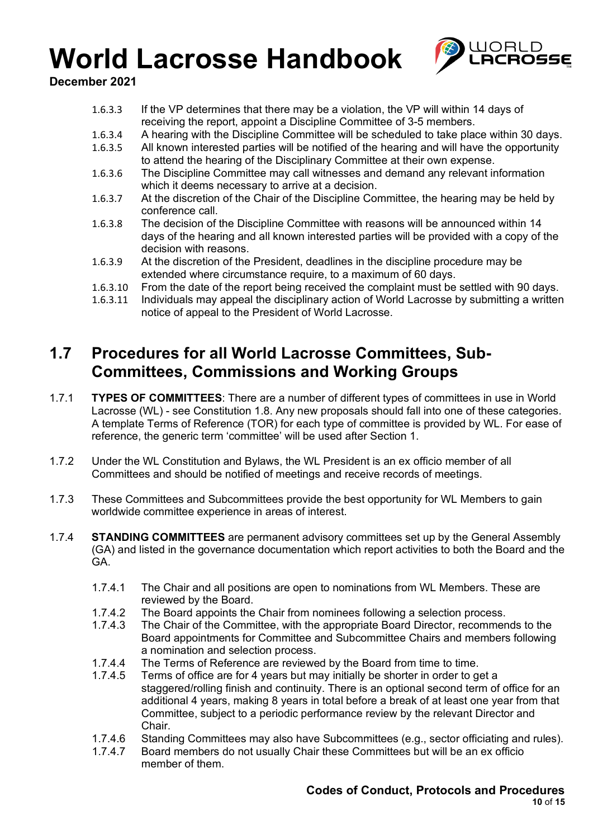

**December 2021**

- 1.6.3.3 If the VP determines that there may be a violation, the VP will within 14 days of receiving the report, appoint a Discipline Committee of 3-5 members.
- 1.6.3.4 A hearing with the Discipline Committee will be scheduled to take place within 30 days.
- 1.6.3.5 All known interested parties will be notified of the hearing and will have the opportunity to attend the hearing of the Disciplinary Committee at their own expense.
- 1.6.3.6 The Discipline Committee may call witnesses and demand any relevant information which it deems necessary to arrive at a decision.
- 1.6.3.7 At the discretion of the Chair of the Discipline Committee, the hearing may be held by conference call.
- 1.6.3.8 The decision of the Discipline Committee with reasons will be announced within 14 days of the hearing and all known interested parties will be provided with a copy of the decision with reasons.
- 1.6.3.9 At the discretion of the President, deadlines in the discipline procedure may be extended where circumstance require, to a maximum of 60 days.
- 1.6.3.10 From the date of the report being received the complaint must be settled with 90 days.<br>1.6.3.11 Individuals may appeal the disciplinary action of World Lacrosse by submitting a writter
- Individuals may appeal the disciplinary action of World Lacrosse by submitting a written notice of appeal to the President of World Lacrosse.

### **1.7 Procedures for all World Lacrosse Committees, Sub-Committees, Commissions and Working Groups**

- 1.7.1 **TYPES OF COMMITTEES**: There are a number of different types of committees in use in World Lacrosse (WL) - see Constitution 1.8. Any new proposals should fall into one of these categories. A template Terms of Reference (TOR) for each type of committee is provided by WL. For ease of reference, the generic term 'committee' will be used after Section 1.
- 1.7.2 Under the WL Constitution and Bylaws, the WL President is an ex officio member of all Committees and should be notified of meetings and receive records of meetings.
- 1.7.3 These Committees and Subcommittees provide the best opportunity for WL Members to gain worldwide committee experience in areas of interest.
- 1.7.4 **STANDING COMMITTEES** are permanent advisory committees set up by the General Assembly (GA) and listed in the governance documentation which report activities to both the Board and the GA.
	- 1.7.4.1 The Chair and all positions are open to nominations from WL Members. These are reviewed by the Board.
	- 1.7.4.2 The Board appoints the Chair from nominees following a selection process.
	- 1.7.4.3 The Chair of the Committee, with the appropriate Board Director, recommends to the Board appointments for Committee and Subcommittee Chairs and members following a nomination and selection process.
	- 1.7.4.4 The Terms of Reference are reviewed by the Board from time to time.<br>1.7.4.5 Terms of office are for 4 years but may initially be shorter in order to go
	- Terms of office are for 4 years but may initially be shorter in order to get a staggered/rolling finish and continuity. There is an optional second term of office for an additional 4 years, making 8 years in total before a break of at least one year from that Committee, subject to a periodic performance review by the relevant Director and Chair.
	- 1.7.4.6 Standing Committees may also have Subcommittees (e.g., sector officiating and rules).<br>1.7.4.7 Board members do not usually Chair these Committees but will be an ex officio
	- Board members do not usually Chair these Committees but will be an ex officio member of them.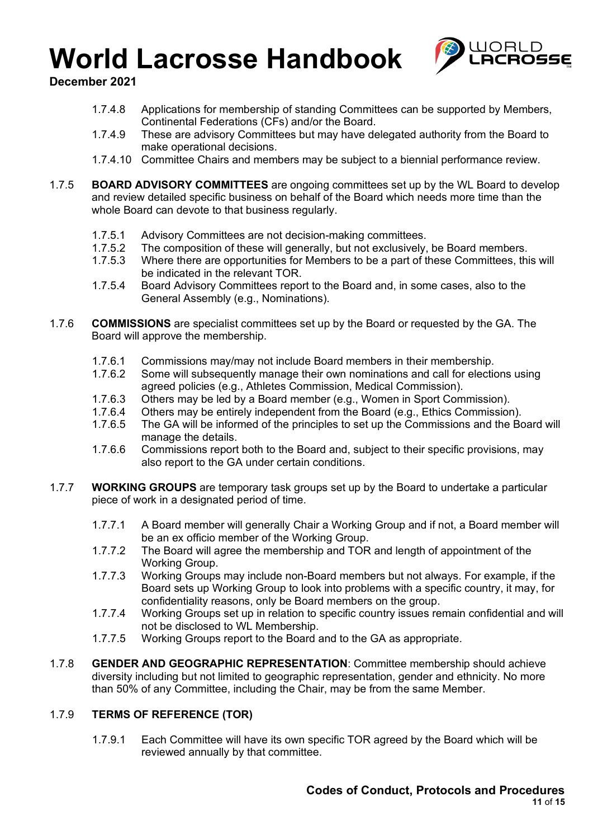

**December 2021**

- 1.7.4.8 Applications for membership of standing Committees can be supported by Members, Continental Federations (CFs) and/or the Board.
- 1.7.4.9 These are advisory Committees but may have delegated authority from the Board to make operational decisions.
- 1.7.4.10 Committee Chairs and members may be subject to a biennial performance review.
- 1.7.5 **BOARD ADVISORY COMMITTEES** are ongoing committees set up by the WL Board to develop and review detailed specific business on behalf of the Board which needs more time than the whole Board can devote to that business regularly.
	- 1.7.5.1 Advisory Committees are not decision-making committees.<br>1.7.5.2 The composition of these will generally, but not exclusively.
	- The composition of these will generally, but not exclusively, be Board members.
	- 1.7.5.3 Where there are opportunities for Members to be a part of these Committees, this will be indicated in the relevant TOR.
	- 1.7.5.4 Board Advisory Committees report to the Board and, in some cases, also to the General Assembly (e.g., Nominations).
- 1.7.6 **COMMISSIONS** are specialist committees set up by the Board or requested by the GA. The Board will approve the membership.
	- 1.7.6.1 Commissions may/may not include Board members in their membership.
	- 1.7.6.2 Some will subsequently manage their own nominations and call for elections using agreed policies (e.g., Athletes Commission, Medical Commission).
	- 1.7.6.3 Others may be led by a Board member (e.g., Women in Sport Commission).<br>1764 Others may be entirely independent from the Board (e.g. Ethics Commission)
	- 1.7.6.4 Others may be entirely independent from the Board (e.g., Ethics Commission).<br>1.7.6.5 The GA will be informed of the principles to set up the Commissions and the Bo
	- The GA will be informed of the principles to set up the Commissions and the Board will manage the details.
	- 1.7.6.6 Commissions report both to the Board and, subject to their specific provisions, may also report to the GA under certain conditions.
- 1.7.7 **WORKING GROUPS** are temporary task groups set up by the Board to undertake a particular piece of work in a designated period of time.
	- 1.7.7.1 A Board member will generally Chair a Working Group and if not, a Board member will be an ex officio member of the Working Group.
	- 1.7.7.2 The Board will agree the membership and TOR and length of appointment of the Working Group.
	- 1.7.7.3 Working Groups may include non-Board members but not always. For example, if the Board sets up Working Group to look into problems with a specific country, it may, for confidentiality reasons, only be Board members on the group.
	- 1.7.7.4 Working Groups set up in relation to specific country issues remain confidential and will not be disclosed to WL Membership.
	- 1.7.7.5 Working Groups report to the Board and to the GA as appropriate.
- 1.7.8 **GENDER AND GEOGRAPHIC REPRESENTATION**: Committee membership should achieve diversity including but not limited to geographic representation, gender and ethnicity. No more than 50% of any Committee, including the Chair, may be from the same Member.

#### 1.7.9 **TERMS OF REFERENCE (TOR)**

1.7.9.1 Each Committee will have its own specific TOR agreed by the Board which will be reviewed annually by that committee.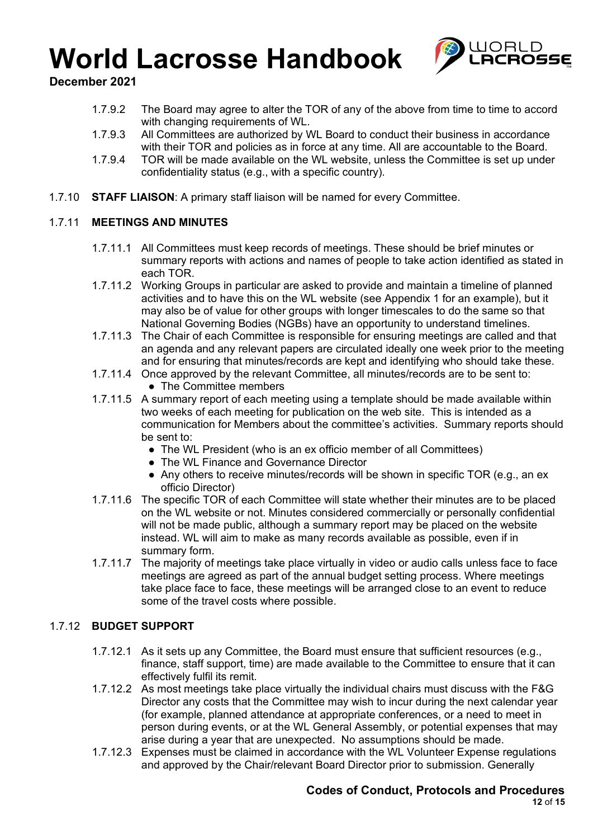

**December 2021**

- 1.7.9.2 The Board may agree to alter the TOR of any of the above from time to time to accord with changing requirements of WL.
- 1.7.9.3 All Committees are authorized by WL Board to conduct their business in accordance with their TOR and policies as in force at any time. All are accountable to the Board.
- 1.7.9.4 TOR will be made available on the WL website, unless the Committee is set up under confidentiality status (e.g., with a specific country).
- 1.7.10 **STAFF LIAISON**: A primary staff liaison will be named for every Committee.

#### 1.7.11 **MEETINGS AND MINUTES**

- 1.7.11.1 All Committees must keep records of meetings. These should be brief minutes or summary reports with actions and names of people to take action identified as stated in each TOR.
- 1.7.11.2 Working Groups in particular are asked to provide and maintain a timeline of planned activities and to have this on the WL website (see Appendix 1 for an example), but it may also be of value for other groups with longer timescales to do the same so that National Governing Bodies (NGBs) have an opportunity to understand timelines.
- 1.7.11.3 The Chair of each Committee is responsible for ensuring meetings are called and that an agenda and any relevant papers are circulated ideally one week prior to the meeting and for ensuring that minutes/records are kept and identifying who should take these.
- 1.7.11.4 Once approved by the relevant Committee, all minutes/records are to be sent to: • The Committee members
- 1.7.11.5 A summary report of each meeting using a template should be made available within two weeks of each meeting for publication on the web site. This is intended as a communication for Members about the committee's activities. Summary reports should be sent to:
	- The WL President (who is an ex officio member of all Committees)
	- The WL Finance and Governance Director
	- Any others to receive minutes/records will be shown in specific TOR (e.g., an ex officio Director)
- 1.7.11.6 The specific TOR of each Committee will state whether their minutes are to be placed on the WL website or not. Minutes considered commercially or personally confidential will not be made public, although a summary report may be placed on the website instead. WL will aim to make as many records available as possible, even if in summary form.
- 1.7.11.7 The majority of meetings take place virtually in video or audio calls unless face to face meetings are agreed as part of the annual budget setting process. Where meetings take place face to face, these meetings will be arranged close to an event to reduce some of the travel costs where possible.

#### 1.7.12 **BUDGET SUPPORT**

- 1.7.12.1 As it sets up any Committee, the Board must ensure that sufficient resources (e.g., finance, staff support, time) are made available to the Committee to ensure that it can effectively fulfil its remit.
- 1.7.12.2 As most meetings take place virtually the individual chairs must discuss with the F&G Director any costs that the Committee may wish to incur during the next calendar year (for example, planned attendance at appropriate conferences, or a need to meet in person during events, or at the WL General Assembly, or potential expenses that may arise during a year that are unexpected. No assumptions should be made.
- 1.7.12.3 Expenses must be claimed in accordance with the WL Volunteer Expense regulations and approved by the Chair/relevant Board Director prior to submission. Generally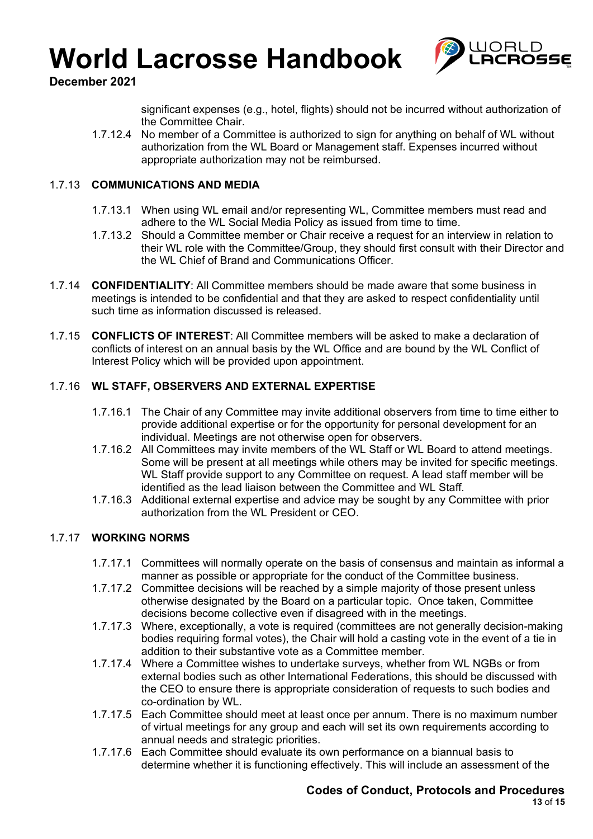

**December 2021**

significant expenses (e.g., hotel, flights) should not be incurred without authorization of the Committee Chair.

1.7.12.4 No member of a Committee is authorized to sign for anything on behalf of WL without authorization from the WL Board or Management staff. Expenses incurred without appropriate authorization may not be reimbursed.

#### 1.7.13 **COMMUNICATIONS AND MEDIA**

- 1.7.13.1 When using WL email and/or representing WL, Committee members must read and adhere to the WL Social Media Policy as issued from time to time.
- 1.7.13.2 Should a Committee member or Chair receive a request for an interview in relation to their WL role with the Committee/Group, they should first consult with their Director and the WL Chief of Brand and Communications Officer.
- 1.7.14 **CONFIDENTIALITY**: All Committee members should be made aware that some business in meetings is intended to be confidential and that they are asked to respect confidentiality until such time as information discussed is released.
- 1.7.15 **CONFLICTS OF INTEREST**: All Committee members will be asked to make a declaration of conflicts of interest on an annual basis by the WL Office and are bound by the WL Conflict of Interest Policy which will be provided upon appointment.

#### 1.7.16 **WL STAFF, OBSERVERS AND EXTERNAL EXPERTISE**

- 1.7.16.1 The Chair of any Committee may invite additional observers from time to time either to provide additional expertise or for the opportunity for personal development for an individual. Meetings are not otherwise open for observers.
- 1.7.16.2 All Committees may invite members of the WL Staff or WL Board to attend meetings. Some will be present at all meetings while others may be invited for specific meetings. WL Staff provide support to any Committee on request. A lead staff member will be identified as the lead liaison between the Committee and WL Staff.
- 1.7.16.3 Additional external expertise and advice may be sought by any Committee with prior authorization from the WL President or CEO.

#### 1.7.17 **WORKING NORMS**

- 1.7.17.1 Committees will normally operate on the basis of consensus and maintain as informal a manner as possible or appropriate for the conduct of the Committee business.
- 1.7.17.2 Committee decisions will be reached by a simple majority of those present unless otherwise designated by the Board on a particular topic. Once taken, Committee decisions become collective even if disagreed with in the meetings.
- 1.7.17.3 Where, exceptionally, a vote is required (committees are not generally decision-making bodies requiring formal votes), the Chair will hold a casting vote in the event of a tie in addition to their substantive vote as a Committee member.
- 1.7.17.4 Where a Committee wishes to undertake surveys, whether from WL NGBs or from external bodies such as other International Federations, this should be discussed with the CEO to ensure there is appropriate consideration of requests to such bodies and co-ordination by WL.
- 1.7.17.5 Each Committee should meet at least once per annum. There is no maximum number of virtual meetings for any group and each will set its own requirements according to annual needs and strategic priorities.
- 1.7.17.6 Each Committee should evaluate its own performance on a biannual basis to determine whether it is functioning effectively. This will include an assessment of the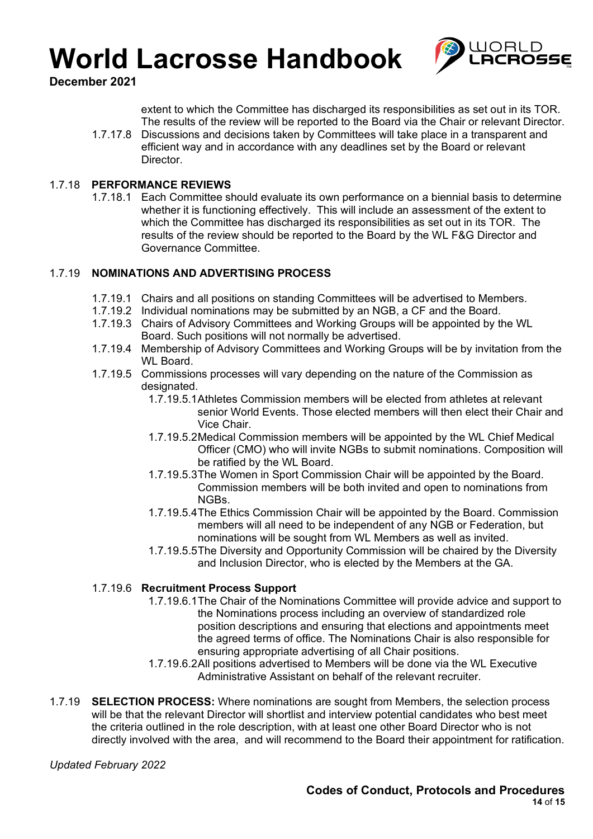

**December 2021**

extent to which the Committee has discharged its responsibilities as set out in its TOR. The results of the review will be reported to the Board via the Chair or relevant Director.

1.7.17.8 Discussions and decisions taken by Committees will take place in a transparent and efficient way and in accordance with any deadlines set by the Board or relevant Director.

#### 1.7.18 **PERFORMANCE REVIEWS**

1.7.18.1 Each Committee should evaluate its own performance on a biennial basis to determine whether it is functioning effectively. This will include an assessment of the extent to which the Committee has discharged its responsibilities as set out in its TOR. The results of the review should be reported to the Board by the WL F&G Director and Governance Committee.

#### 1.7.19 **NOMINATIONS AND ADVERTISING PROCESS**

- 1.7.19.1 Chairs and all positions on standing Committees will be advertised to Members.
- 1.7.19.2 Individual nominations may be submitted by an NGB, a CF and the Board.
- 1.7.19.3 Chairs of Advisory Committees and Working Groups will be appointed by the WL Board. Such positions will not normally be advertised.
- 1.7.19.4 Membership of Advisory Committees and Working Groups will be by invitation from the WL Board.
- 1.7.19.5 Commissions processes will vary depending on the nature of the Commission as designated.
	- 1.7.19.5.1Athletes Commission members will be elected from athletes at relevant senior World Events. Those elected members will then elect their Chair and Vice Chair.
	- 1.7.19.5.2Medical Commission members will be appointed by the WL Chief Medical Officer (CMO) who will invite NGBs to submit nominations. Composition will be ratified by the WL Board.
	- 1.7.19.5.3The Women in Sport Commission Chair will be appointed by the Board. Commission members will be both invited and open to nominations from NGBs.
	- 1.7.19.5.4The Ethics Commission Chair will be appointed by the Board. Commission members will all need to be independent of any NGB or Federation, but nominations will be sought from WL Members as well as invited.
	- 1.7.19.5.5The Diversity and Opportunity Commission will be chaired by the Diversity and Inclusion Director, who is elected by the Members at the GA.

#### 1.7.19.6 **Recruitment Process Support**

- 1.7.19.6.1The Chair of the Nominations Committee will provide advice and support to the Nominations process including an overview of standardized role position descriptions and ensuring that elections and appointments meet the agreed terms of office. The Nominations Chair is also responsible for ensuring appropriate advertising of all Chair positions.
- 1.7.19.6.2All positions advertised to Members will be done via the WL Executive Administrative Assistant on behalf of the relevant recruiter.
- 1.7.19 **SELECTION PROCESS:** Where nominations are sought from Members, the selection process will be that the relevant Director will shortlist and interview potential candidates who best meet the criteria outlined in the role description, with at least one other Board Director who is not directly involved with the area, and will recommend to the Board their appointment for ratification.

*Updated February 2022*